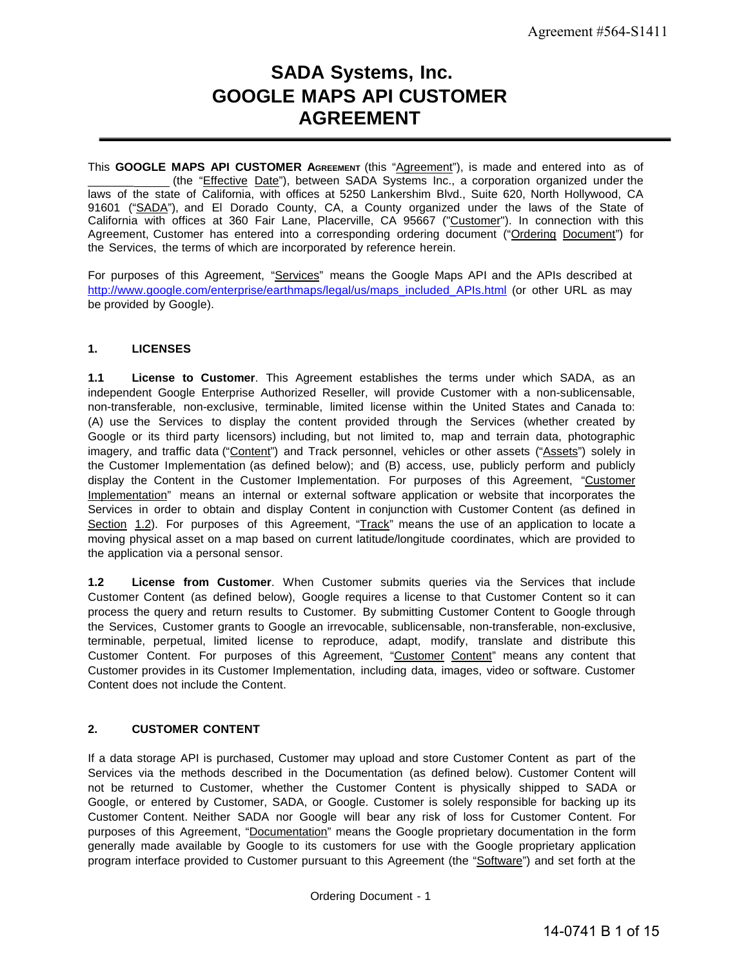# **SADA Systems, Inc. GOOGLE MAPS API CUSTOMER AGREEMENT**

This **GOOGLE MAPS API CUSTOMER AGREEMENT** (this "Agreement"), is made and entered into as of \_\_\_\_\_\_\_ (the "Effective Date"), between SADA Systems Inc., a corporation organized under the laws of the state of California, with offices at 5250 Lankershim Blvd., Suite 620, North Hollywood, CA 91601 ("SADA"), and El Dorado County, CA, a County organized under the laws of the State of California with offices at 360 Fair Lane, Placerville, CA 95667 ("Customer"). In connection with this Agreement, Customer has entered into a corresponding ordering document ("Ordering Document") for the Services, the terms of which are incorporated by reference herein.

For purposes of this Agreement, "Services" means the Google Maps API and the APIs described at [http://www.google.com/enterprise/earthmaps/legal/us/maps\\_included\\_APIs.html](http://www.google.com/enterprise/earthmaps/legal/us/maps_included_APIs.html) (or other URL as may be provided by Google).

# **1. LICENSES**

**1.1 License to Customer**. This Agreement establishes the terms under which SADA, as an independent Google Enterprise Authorized Reseller, will provide Customer with a non-sublicensable, non-transferable, non-exclusive, terminable, limited license within the United States and Canada to: (A) use the Services to display the content provided through the Services (whether created by Google or its third party licensors) including, but not limited to, map and terrain data, photographic imagery, and traffic data ("Content") and Track personnel, vehicles or other assets ("Assets") solely in the Customer Implementation (as defined below); and (B) access, use, publicly perform and publicly display the Content in the Customer Implementation. For purposes of this Agreement, "Customer Implementation" means an internal or external software application or website that incorporates the Services in order to obtain and display Content in conjunction with Customer Content (as defined in Section 1.2). For purposes of this Agreement, "Track" means the use of an application to locate a moving physical asset on a map based on current latitude/longitude coordinates, which are provided to the application via a personal sensor.

**1.2 License from Customer**. When Customer submits queries via the Services that include Customer Content (as defined below), Google requires a license to that Customer Content so it can process the query and return results to Customer. By submitting Customer Content to Google through the Services, Customer grants to Google an irrevocable, sublicensable, non-transferable, non-exclusive, terminable, perpetual, limited license to reproduce, adapt, modify, translate and distribute this Customer Content. For purposes of this Agreement, "Customer Content" means any content that Customer provides in its Customer Implementation, including data, images, video or software. Customer Content does not include the Content.

#### **2. CUSTOMER CONTENT**

If a data storage API is purchased, Customer may upload and store Customer Content as part of the Services via the methods described in the Documentation (as defined below). Customer Content will not be returned to Customer, whether the Customer Content is physically shipped to SADA or Google, or entered by Customer, SADA, or Google. Customer is solely responsible for backing up its Customer Content. Neither SADA nor Google will bear any risk of loss for Customer Content. For purposes of this Agreement, "Documentation" means the Google proprietary documentation in the form generally made available by Google to its customers for use with the Google proprietary application program interface provided to Customer pursuant to this Agreement (the "Software") and set forth at the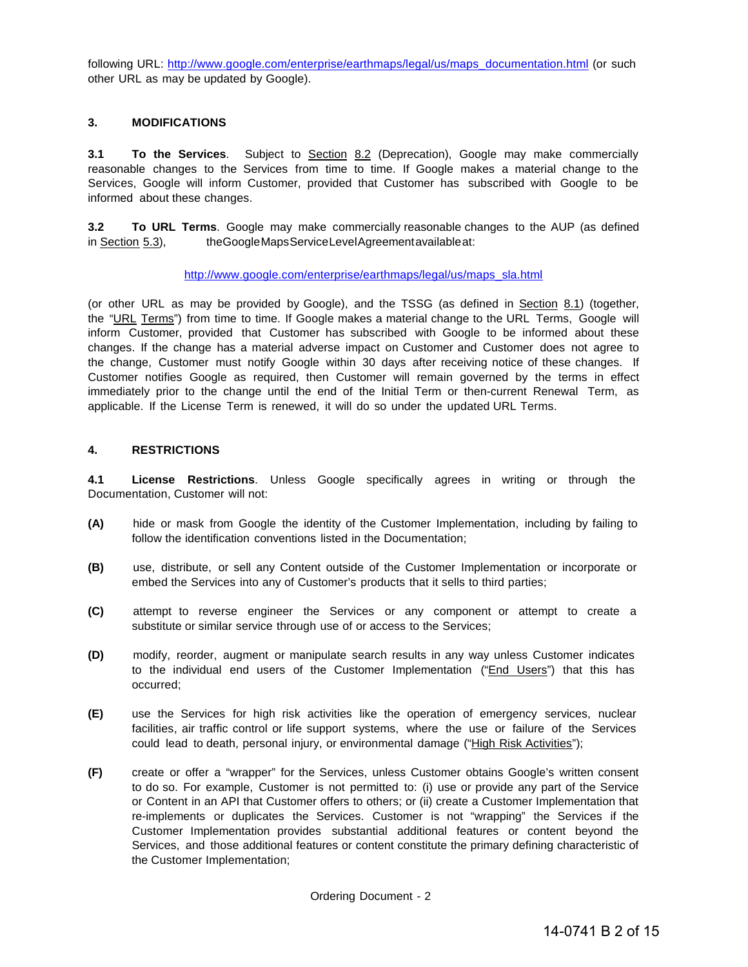following URL: [http://www.google.com/enterprise/earthmaps/legal/us/maps\\_documentation.html](http://www.google.com/enterprise/earthmaps/legal/us/maps_documentation.html) (or such other URL as may be updated by Google).

## **3. MODIFICATIONS**

**3.1 To the Services**. Subject to **Section 8.2** (Deprecation), Google may make commercially reasonable changes to the Services from time to time. If Google makes a material change to the Services, Google will inform Customer, provided that Customer has subscribed with Google to be informed about these changes.

**3.2 To URL Terms**. Google may make commercially reasonable changes to the AUP (as defined in Section 5.3), theGoogleMapsServiceLevelAgreementavailableat:

#### [http://www.google.com/enterprise/earthmaps/legal/us/maps\\_sla.html](http://www.google.com/enterprise/earthmaps/legal/us/maps_sla.html)

(or other URL as may be provided by Google), and the TSSG (as defined in Section 8.1) (together, the "URL Terms") from time to time. If Google makes a material change to the URL Terms, Google will inform Customer, provided that Customer has subscribed with Google to be informed about these changes. If the change has a material adverse impact on Customer and Customer does not agree to the change, Customer must notify Google within 30 days after receiving notice of these changes. If Customer notifies Google as required, then Customer will remain governed by the terms in effect immediately prior to the change until the end of the Initial Term or then-current Renewal Term, as applicable. If the License Term is renewed, it will do so under the updated URL Terms.

# **4. RESTRICTIONS**

**4.1 License Restrictions**. Unless Google specifically agrees in writing or through the Documentation, Customer will not:

- **(A)** hide or mask from Google the identity of the Customer Implementation, including by failing to follow the identification conventions listed in the Documentation;
- **(B)** use, distribute, or sell any Content outside of the Customer Implementation or incorporate or embed the Services into any of Customer's products that it sells to third parties;
- **(C)** attempt to reverse engineer the Services or any component or attempt to create a substitute or similar service through use of or access to the Services;
- **(D)** modify, reorder, augment or manipulate search results in any way unless Customer indicates to the individual end users of the Customer Implementation ("End Users") that this has occurred;
- **(E)** use the Services for high risk activities like the operation of emergency services, nuclear facilities, air traffic control or life support systems, where the use or failure of the Services could lead to death, personal injury, or environmental damage ("High Risk Activities");
- **(F)** create or offer a "wrapper" for the Services, unless Customer obtains Google's written consent to do so. For example, Customer is not permitted to: (i) use or provide any part of the Service or Content in an API that Customer offers to others; or (ii) create a Customer Implementation that re-implements or duplicates the Services. Customer is not "wrapping" the Services if the Customer Implementation provides substantial additional features or content beyond the Services, and those additional features or content constitute the primary defining characteristic of the Customer Implementation;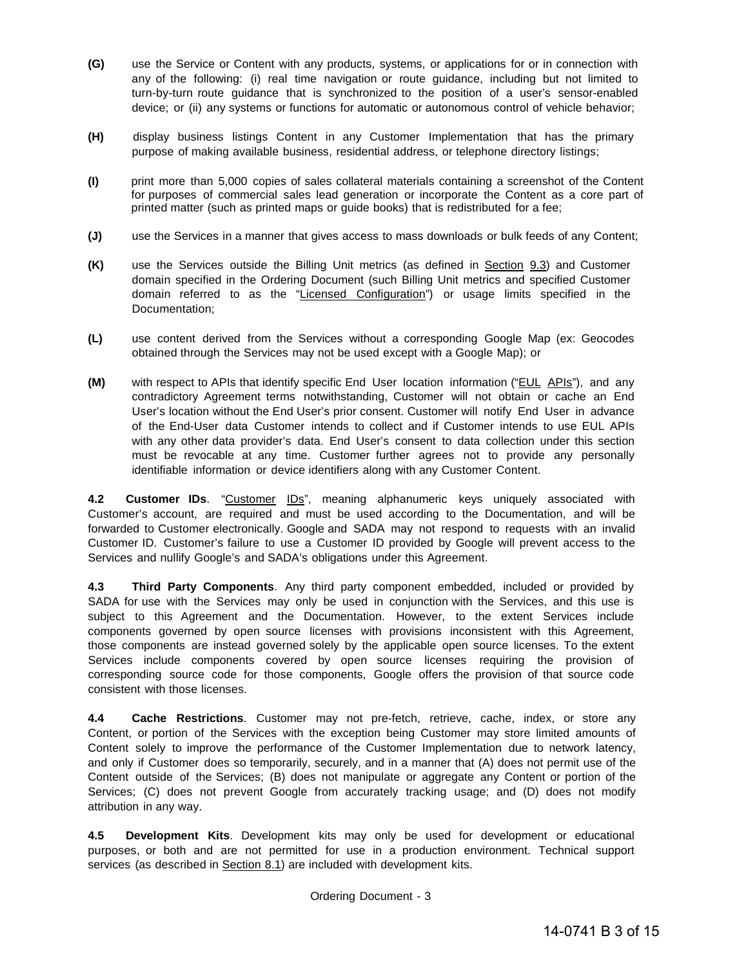- **(G)** use the Service or Content with any products, systems, or applications for or in connection with any of the following: (i) real time navigation or route guidance, including but not limited to turn-by-turn route guidance that is synchronized to the position of a user's sensor-enabled device; or (ii) any systems or functions for automatic or autonomous control of vehicle behavior;
- **(H)** display business listings Content in any Customer Implementation that has the primary purpose of making available business, residential address, or telephone directory listings;
- **(I)** print more than 5,000 copies of sales collateral materials containing a screenshot of the Content for purposes of commercial sales lead generation or incorporate the Content as a core part of printed matter (such as printed maps or guide books) that is redistributed for a fee;
- **(J)** use the Services in a manner that gives access to mass downloads or bulk feeds of any Content;
- **(K)** use the Services outside the Billing Unit metrics (as defined in Section 9.3) and Customer domain specified in the Ordering Document (such Billing Unit metrics and specified Customer domain referred to as the "Licensed Configuration") or usage limits specified in the Documentation;
- **(L)** use content derived from the Services without a corresponding Google Map (ex: Geocodes obtained through the Services may not be used except with a Google Map); or
- **(M)** with respect to APIs that identify specific End User location information ("EUL APIs"), and any contradictory Agreement terms notwithstanding, Customer will not obtain or cache an End User's location without the End User's prior consent. Customer will notify End User in advance of the End-User data Customer intends to collect and if Customer intends to use EUL APIs with any other data provider's data. End User's consent to data collection under this section must be revocable at any time. Customer further agrees not to provide any personally identifiable information or device identifiers along with any Customer Content.

**4.2 Customer IDs**. "Customer IDs", meaning alphanumeric keys uniquely associated with Customer's account, are required and must be used according to the Documentation, and will be forwarded to Customer electronically. Google and SADA may not respond to requests with an invalid Customer ID. Customer's failure to use a Customer ID provided by Google will prevent access to the Services and nullify Google's and SADA's obligations under this Agreement.

**4.3 Third Party Components**. Any third party component embedded, included or provided by SADA for use with the Services may only be used in conjunction with the Services, and this use is subject to this Agreement and the Documentation. However, to the extent Services include components governed by open source licenses with provisions inconsistent with this Agreement, those components are instead governed solely by the applicable open source licenses. To the extent Services include components covered by open source licenses requiring the provision of corresponding source code for those components, Google offers the provision of that source code consistent with those licenses.

**4.4 Cache Restrictions**. Customer may not pre-fetch, retrieve, cache, index, or store any Content, or portion of the Services with the exception being Customer may store limited amounts of Content solely to improve the performance of the Customer Implementation due to network latency, and only if Customer does so temporarily, securely, and in a manner that (A) does not permit use of the Content outside of the Services; (B) does not manipulate or aggregate any Content or portion of the Services; (C) does not prevent Google from accurately tracking usage; and (D) does not modify attribution in any way.

**4.5 Development Kits**. Development kits may only be used for development or educational purposes, or both and are not permitted for use in a production environment. Technical support services (as described in Section 8.1) are included with development kits.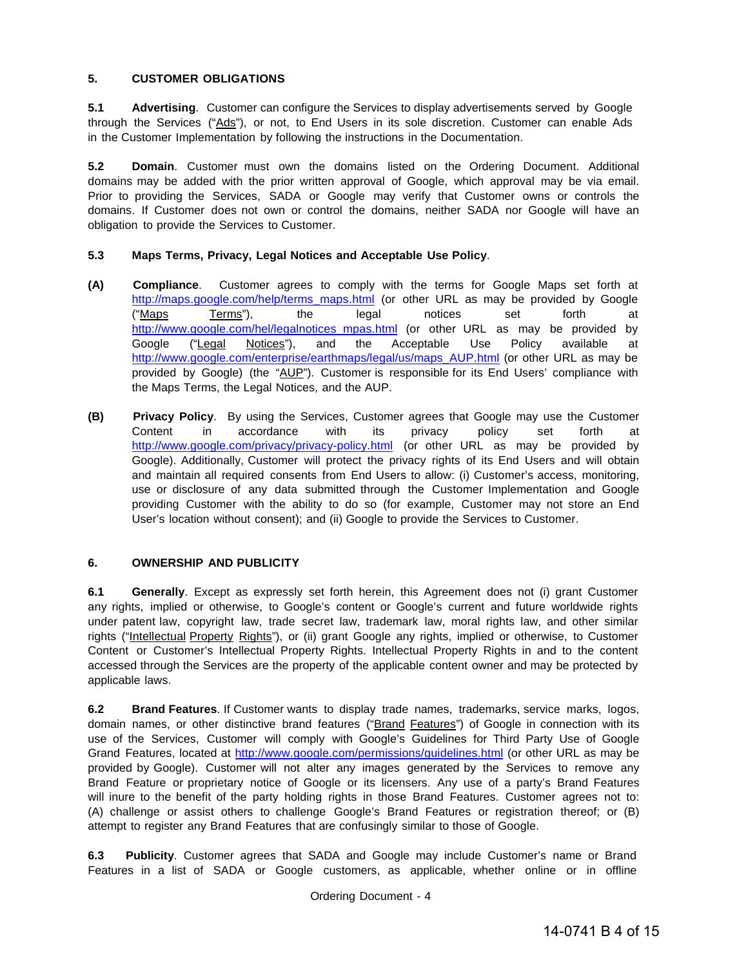# **5. CUSTOMER OBLIGATIONS**

**5.1 Advertising**. Customer can configure the Services to display advertisements served by Google through the Services ("Ads"), or not, to End Users in its sole discretion. Customer can enable Ads in the Customer Implementation by following the instructions in the Documentation.

**5.2 Domain**. Customer must own the domains listed on the Ordering Document. Additional domains may be added with the prior written approval of Google, which approval may be via email. Prior to providing the Services, SADA or Google may verify that Customer owns or controls the domains. If Customer does not own or control the domains, neither SADA nor Google will have an obligation to provide the Services to Customer.

# **5.3 Maps Terms, Privacy, Legal Notices and Acceptable Use Policy**.

- **(A) Compliance**. Customer agrees to comply with the terms for Google Maps set forth at [http://maps.google.com/help/terms\\_maps.html](http://maps.google.com/help/terms_maps.html) (or other URL as may be provided by Google ("<u>Maps</u> T<u>erms</u>"), the legal notices set forth at [http://www.google.com/hel/legalnotices\\_mpas.html](http://www.google.com/hel/legalnotices_mpas.html) (or other URL as may be provided by Google ("Legal Notices"), and the Acceptable Use Policy available at [http://www.google.com/enterprise/earthmaps/legal/us/maps\\_AUP.html](http://www.google.com/enterprise/earthmaps/legal/us/maps_AUP.html) (or other URL as may be provided by Google) (the "AUP"). Customer is responsible for its End Users' compliance with the Maps Terms, the Legal Notices, and the AUP.
- **(B) Privacy Policy**. By using the Services, Customer agrees that Google may use the Customer Content in accordance with its privacy policy set forth at <http://www.google.com/privacy/privacy-policy.html> (or other URL as may be provided by Google). Additionally, Customer will protect the privacy rights of its End Users and will obtain and maintain all required consents from End Users to allow: (i) Customer's access, monitoring, use or disclosure of any data submitted through the Customer Implementation and Google providing Customer with the ability to do so (for example, Customer may not store an End User's location without consent); and (ii) Google to provide the Services to Customer.

#### **6. OWNERSHIP AND PUBLICITY**

**6.1 Generally**. Except as expressly set forth herein, this Agreement does not (i) grant Customer any rights, implied or otherwise, to Google's content or Google's current and future worldwide rights under patent law, copyright law, trade secret law, trademark law, moral rights law, and other similar rights ("Intellectual Property Rights"), or (ii) grant Google any rights, implied or otherwise, to Customer Content or Customer's Intellectual Property Rights. Intellectual Property Rights in and to the content accessed through the Services are the property of the applicable content owner and may be protected by applicable laws.

**6.2 Brand Features**. If Customer wants to display trade names, trademarks, service marks, logos, domain names, or other distinctive brand features ("Brand Features") of Google in connection with its use of the Services, Customer will comply with Google's Guidelines for Third Party Use of Google Grand Features, located at <http://www.google.com/permissions/guidelines.html> (or other URL as may be provided by Google). Customer will not alter any images generated by the Services to remove any Brand Feature or proprietary notice of Google or its licensers. Any use of a party's Brand Features will inure to the benefit of the party holding rights in those Brand Features. Customer agrees not to: (A) challenge or assist others to challenge Google's Brand Features or registration thereof; or (B) attempt to register any Brand Features that are confusingly similar to those of Google.

**6.3 Publicity**. Customer agrees that SADA and Google may include Customer's name or Brand Features in a list of SADA or Google customers, as applicable, whether online or in offline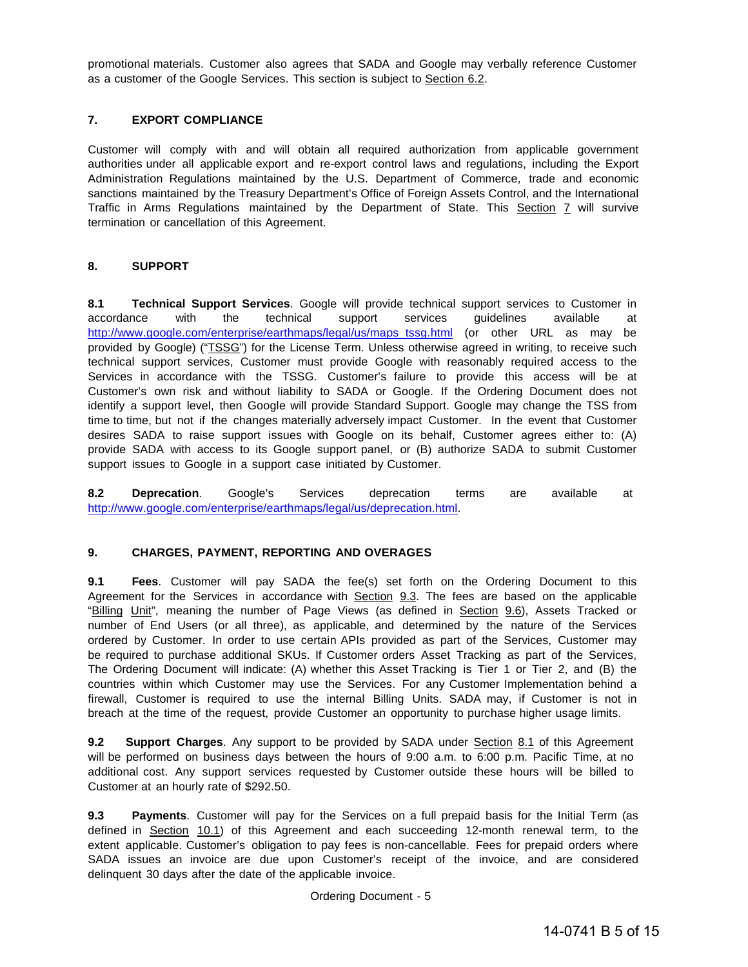promotional materials. Customer also agrees that SADA and Google may verbally reference Customer as a customer of the Google Services. This section is subject to Section 6.2.

# **7. EXPORT COMPLIANCE**

Customer will comply with and will obtain all required authorization from applicable government authorities under all applicable export and re-export control laws and regulations, including the Export Administration Regulations maintained by the U.S. Department of Commerce, trade and economic sanctions maintained by the Treasury Department's Office of Foreign Assets Control, and the International Traffic in Arms Regulations maintained by the Department of State. This Section 7 will survive termination or cancellation of this Agreement.

# **8. SUPPORT**

**8.1 Technical Support Services**. Google will provide technical support services to Customer in accordance with the technical support services guidelines available at [http://www.google.com/enterprise/earthmaps/legal/us/maps\\_tssg.html](http://www.google.com/enterprise/earthmaps/legal/us/maps_tssg.html) (or other URL as may be provided by Google) ("TSSG") for the License Term. Unless otherwise agreed in writing, to receive such technical support services, Customer must provide Google with reasonably required access to the Services in accordance with the TSSG. Customer's failure to provide this access will be at Customer's own risk and without liability to SADA or Google. If the Ordering Document does not identify a support level, then Google will provide Standard Support. Google may change the TSS from time to time, but not if the changes materially adversely impact Customer. In the event that Customer desires SADA to raise support issues with Google on its behalf, Customer agrees either to: (A) provide SADA with access to its Google support panel, or (B) authorize SADA to submit Customer support issues to Google in a support case initiated by Customer.

**8.2 Deprecation**. Google's Services deprecation terms are available at [http://www.google.com/enterprise/earthmaps/legal/us/deprecation.html.](http://www.google.com/enterprise/earthmaps/legal/us/deprecation.html)

#### **9. CHARGES, PAYMENT, REPORTING AND OVERAGES**

**9.1 Fees**. Customer will pay SADA the fee(s) set forth on the Ordering Document to this Agreement for the Services in accordance with Section 9.3. The fees are based on the applicable "Billing Unit", meaning the number of Page Views (as defined in Section 9.6), Assets Tracked or number of End Users (or all three), as applicable, and determined by the nature of the Services ordered by Customer. In order to use certain APIs provided as part of the Services, Customer may be required to purchase additional SKUs. If Customer orders Asset Tracking as part of the Services, The Ordering Document will indicate: (A) whether this Asset Tracking is Tier 1 or Tier 2, and (B) the countries within which Customer may use the Services. For any Customer Implementation behind a firewall, Customer is required to use the internal Billing Units. SADA may, if Customer is not in breach at the time of the request, provide Customer an opportunity to purchase higher usage limits.

**9.2 Support Charges**. Any support to be provided by SADA under Section 8.1 of this Agreement will be performed on business days between the hours of 9:00 a.m. to 6:00 p.m. Pacific Time, at no additional cost. Any support services requested by Customer outside these hours will be billed to Customer at an hourly rate of \$292.50.

**9.3** Payments. Customer will pay for the Services on a full prepaid basis for the Initial Term (as defined in Section 10.1) of this Agreement and each succeeding 12-month renewal term, to the extent applicable. Customer's obligation to pay fees is non-cancellable. Fees for prepaid orders where SADA issues an invoice are due upon Customer's receipt of the invoice, and are considered delinquent 30 days after the date of the applicable invoice.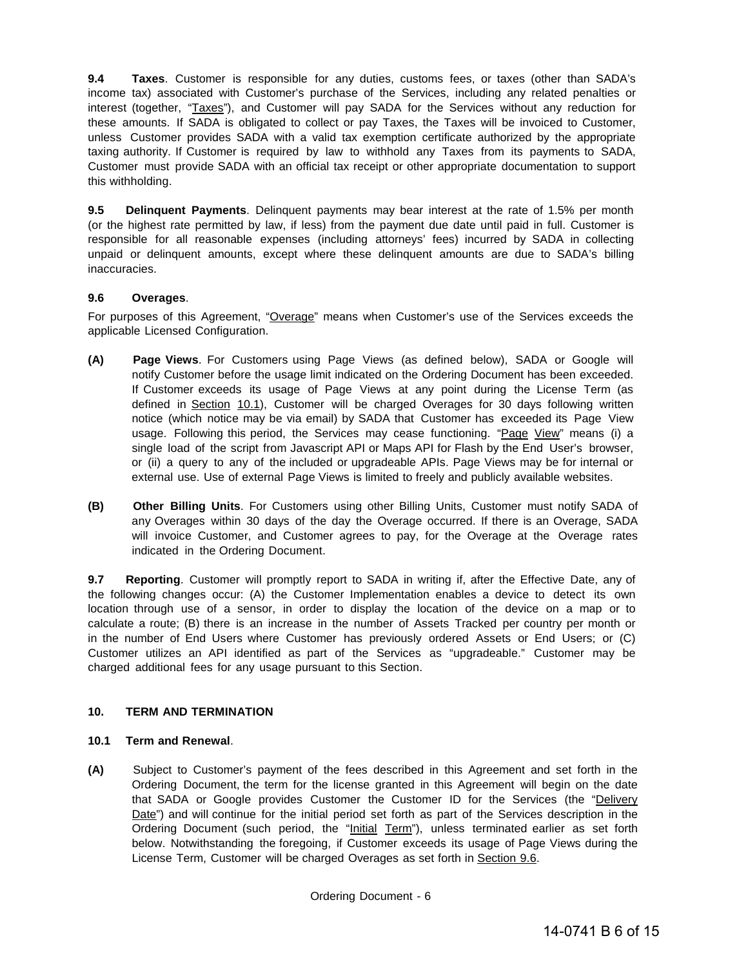**9.4 Taxes**. Customer is responsible for any duties, customs fees, or taxes (other than SADA's income tax) associated with Customer's purchase of the Services, including any related penalties or interest (together, "Taxes"), and Customer will pay SADA for the Services without any reduction for these amounts. If SADA is obligated to collect or pay Taxes, the Taxes will be invoiced to Customer, unless Customer provides SADA with a valid tax exemption certificate authorized by the appropriate taxing authority. If Customer is required by law to withhold any Taxes from its payments to SADA, Customer must provide SADA with an official tax receipt or other appropriate documentation to support this withholding.

**9.5 Delinquent Payments**. Delinquent payments may bear interest at the rate of 1.5% per month (or the highest rate permitted by law, if less) from the payment due date until paid in full. Customer is responsible for all reasonable expenses (including attorneys' fees) incurred by SADA in collecting unpaid or delinquent amounts, except where these delinquent amounts are due to SADA's billing inaccuracies.

# **9.6 Overages**.

For purposes of this Agreement, "Overage" means when Customer's use of the Services exceeds the applicable Licensed Configuration.

- **(A) Page Views**. For Customers using Page Views (as defined below), SADA or Google will notify Customer before the usage limit indicated on the Ordering Document has been exceeded. If Customer exceeds its usage of Page Views at any point during the License Term (as defined in Section 10.1), Customer will be charged Overages for 30 days following written notice (which notice may be via email) by SADA that Customer has exceeded its Page View usage. Following this period, the Services may cease functioning. "Page View" means (i) a single load of the script from Javascript API or Maps API for Flash by the End User's browser, or (ii) a query to any of the included or upgradeable APIs. Page Views may be for internal or external use. Use of external Page Views is limited to freely and publicly available websites.
- **(B) Other Billing Units**. For Customers using other Billing Units, Customer must notify SADA of any Overages within 30 days of the day the Overage occurred. If there is an Overage, SADA will invoice Customer, and Customer agrees to pay, for the Overage at the Overage rates indicated in the Ordering Document.

**9.7 Reporting**. Customer will promptly report to SADA in writing if, after the Effective Date, any of the following changes occur: (A) the Customer Implementation enables a device to detect its own location through use of a sensor, in order to display the location of the device on a map or to calculate a route; (B) there is an increase in the number of Assets Tracked per country per month or in the number of End Users where Customer has previously ordered Assets or End Users; or (C) Customer utilizes an API identified as part of the Services as "upgradeable." Customer may be charged additional fees for any usage pursuant to this Section.

# **10. TERM AND TERMINATION**

#### **10.1 Term and Renewal**.

**(A)** Subject to Customer's payment of the fees described in this Agreement and set forth in the Ordering Document, the term for the license granted in this Agreement will begin on the date that SADA or Google provides Customer the Customer ID for the Services (the "Delivery Date") and will continue for the initial period set forth as part of the Services description in the Ordering Document (such period, the "Initial Term"), unless terminated earlier as set forth below. Notwithstanding the foregoing, if Customer exceeds its usage of Page Views during the License Term, Customer will be charged Overages as set forth in Section 9.6.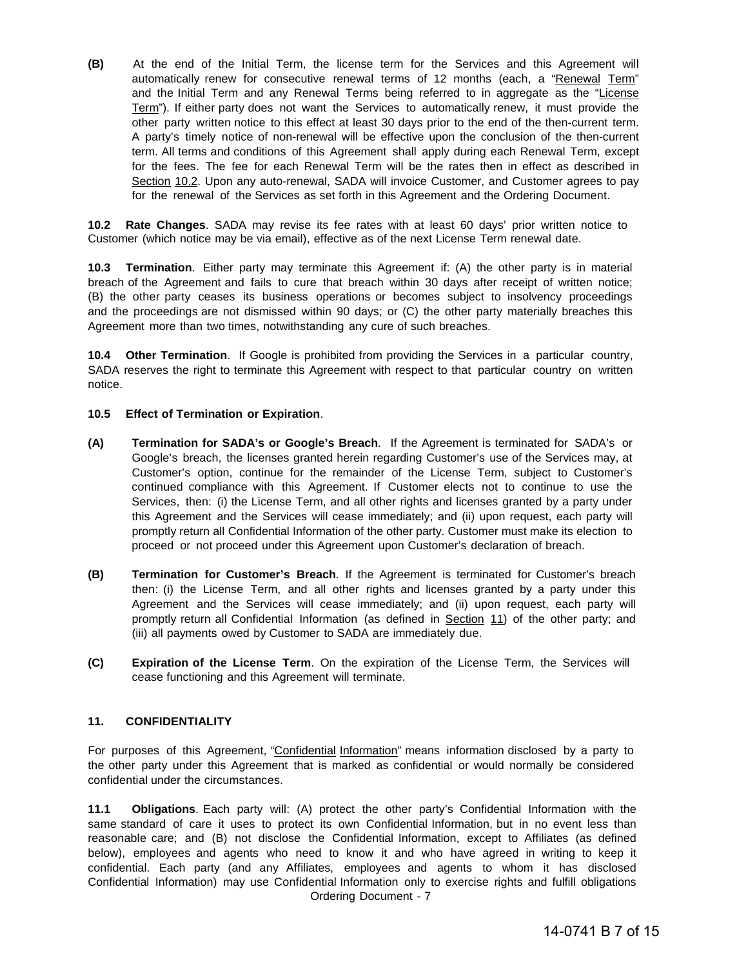**(B)** At the end of the Initial Term, the license term for the Services and this Agreement will automatically renew for consecutive renewal terms of 12 months (each, a "Renewal Term" and the Initial Term and any Renewal Terms being referred to in aggregate as the "License Term"). If either party does not want the Services to automatically renew, it must provide the other party written notice to this effect at least 30 days prior to the end of the then-current term. A party's timely notice of non-renewal will be effective upon the conclusion of the then-current term. All terms and conditions of this Agreement shall apply during each Renewal Term, except for the fees. The fee for each Renewal Term will be the rates then in effect as described in Section 10.2. Upon any auto-renewal, SADA will invoice Customer, and Customer agrees to pay for the renewal of the Services as set forth in this Agreement and the Ordering Document.

**10.2 Rate Changes**. SADA may revise its fee rates with at least 60 days' prior written notice to Customer (which notice may be via email), effective as of the next License Term renewal date.

**10.3 Termination**. Either party may terminate this Agreement if: (A) the other party is in material breach of the Agreement and fails to cure that breach within 30 days after receipt of written notice; (B) the other party ceases its business operations or becomes subject to insolvency proceedings and the proceedings are not dismissed within 90 days; or (C) the other party materially breaches this Agreement more than two times, notwithstanding any cure of such breaches.

**10.4 Other Termination**. If Google is prohibited from providing the Services in a particular country, SADA reserves the right to terminate this Agreement with respect to that particular country on written notice.

#### **10.5 Effect of Termination or Expiration**.

- **(A) Termination for SADA's or Google's Breach**. If the Agreement is terminated for SADA's or Google's breach, the licenses granted herein regarding Customer's use of the Services may, at Customer's option, continue for the remainder of the License Term, subject to Customer's continued compliance with this Agreement. If Customer elects not to continue to use the Services, then: (i) the License Term, and all other rights and licenses granted by a party under this Agreement and the Services will cease immediately; and (ii) upon request, each party will promptly return all Confidential Information of the other party. Customer must make its election to proceed or not proceed under this Agreement upon Customer's declaration of breach.
- **(B) Termination for Customer's Breach**. If the Agreement is terminated for Customer's breach then: (i) the License Term, and all other rights and licenses granted by a party under this Agreement and the Services will cease immediately; and (ii) upon request, each party will promptly return all Confidential Information (as defined in Section 11) of the other party; and (iii) all payments owed by Customer to SADA are immediately due.
- **(C) Expiration of the License Term**. On the expiration of the License Term, the Services will cease functioning and this Agreement will terminate.

#### **11. CONFIDENTIALITY**

For purposes of this Agreement, "Confidential Information" means information disclosed by a party to the other party under this Agreement that is marked as confidential or would normally be considered confidential under the circumstances.

Ordering Document - 7 **11.1 Obligations**. Each party will: (A) protect the other party's Confidential Information with the same standard of care it uses to protect its own Confidential Information, but in no event less than reasonable care; and (B) not disclose the Confidential Information, except to Affiliates (as defined below), employees and agents who need to know it and who have agreed in writing to keep it confidential. Each party (and any Affiliates, employees and agents to whom it has disclosed Confidential Information) may use Confidential Information only to exercise rights and fulfill obligations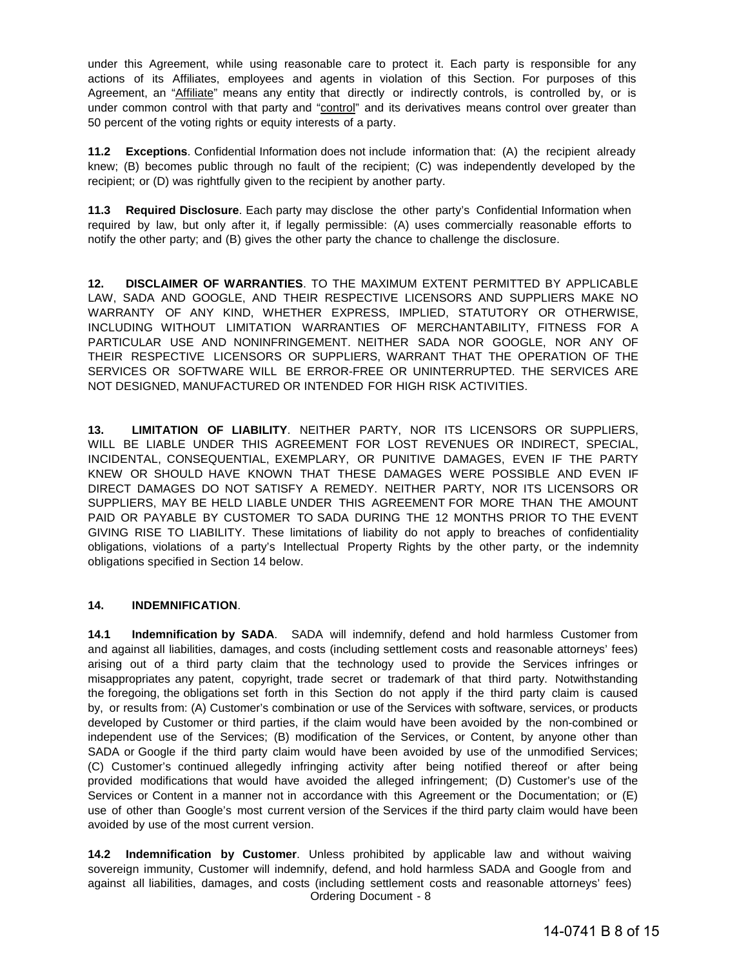under this Agreement, while using reasonable care to protect it. Each party is responsible for any actions of its Affiliates, employees and agents in violation of this Section. For purposes of this Agreement, an "Affiliate" means any entity that directly or indirectly controls, is controlled by, or is under common control with that party and "control" and its derivatives means control over greater than 50 percent of the voting rights or equity interests of a party.

**11.2 Exceptions**. Confidential Information does not include information that: (A) the recipient already knew; (B) becomes public through no fault of the recipient; (C) was independently developed by the recipient; or (D) was rightfully given to the recipient by another party.

**11.3 Required Disclosure**. Each party may disclose the other party's Confidential Information when required by law, but only after it, if legally permissible: (A) uses commercially reasonable efforts to notify the other party; and (B) gives the other party the chance to challenge the disclosure.

**12. DISCLAIMER OF WARRANTIES**. TO THE MAXIMUM EXTENT PERMITTED BY APPLICABLE LAW, SADA AND GOOGLE, AND THEIR RESPECTIVE LICENSORS AND SUPPLIERS MAKE NO WARRANTY OF ANY KIND, WHETHER EXPRESS, IMPLIED, STATUTORY OR OTHERWISE, INCLUDING WITHOUT LIMITATION WARRANTIES OF MERCHANTABILITY, FITNESS FOR A PARTICULAR USE AND NONINFRINGEMENT. NEITHER SADA NOR GOOGLE, NOR ANY OF THEIR RESPECTIVE LICENSORS OR SUPPLIERS, WARRANT THAT THE OPERATION OF THE SERVICES OR SOFTWARE WILL BE ERROR-FREE OR UNINTERRUPTED. THE SERVICES ARE NOT DESIGNED, MANUFACTURED OR INTENDED FOR HIGH RISK ACTIVITIES.

**13. LIMITATION OF LIABILITY**. NEITHER PARTY, NOR ITS LICENSORS OR SUPPLIERS, WILL BE LIABLE UNDER THIS AGREEMENT FOR LOST REVENUES OR INDIRECT, SPECIAL, INCIDENTAL, CONSEQUENTIAL, EXEMPLARY, OR PUNITIVE DAMAGES, EVEN IF THE PARTY KNEW OR SHOULD HAVE KNOWN THAT THESE DAMAGES WERE POSSIBLE AND EVEN IF DIRECT DAMAGES DO NOT SATISFY A REMEDY. NEITHER PARTY, NOR ITS LICENSORS OR SUPPLIERS, MAY BE HELD LIABLE UNDER THIS AGREEMENT FOR MORE THAN THE AMOUNT PAID OR PAYABLE BY CUSTOMER TO SADA DURING THE 12 MONTHS PRIOR TO THE EVENT GIVING RISE TO LIABILITY. These limitations of liability do not apply to breaches of confidentiality obligations, violations of a party's Intellectual Property Rights by the other party, or the indemnity obligations specified in Section 14 below.

#### **14. INDEMNIFICATION**.

**14.1 Indemnification by SADA**. SADA will indemnify, defend and hold harmless Customer from and against all liabilities, damages, and costs (including settlement costs and reasonable attorneys' fees) arising out of a third party claim that the technology used to provide the Services infringes or misappropriates any patent, copyright, trade secret or trademark of that third party. Notwithstanding the foregoing, the obligations set forth in this Section do not apply if the third party claim is caused by, or results from: (A) Customer's combination or use of the Services with software, services, or products developed by Customer or third parties, if the claim would have been avoided by the non-combined or independent use of the Services; (B) modification of the Services, or Content, by anyone other than SADA or Google if the third party claim would have been avoided by use of the unmodified Services; (C) Customer's continued allegedly infringing activity after being notified thereof or after being provided modifications that would have avoided the alleged infringement; (D) Customer's use of the Services or Content in a manner not in accordance with this Agreement or the Documentation; or (E) use of other than Google's most current version of the Services if the third party claim would have been avoided by use of the most current version.

Ordering Document - 8 **14.2 Indemnification by Customer**. Unless prohibited by applicable law and without waiving sovereign immunity, Customer will indemnify, defend, and hold harmless SADA and Google from and against all liabilities, damages, and costs (including settlement costs and reasonable attorneys' fees)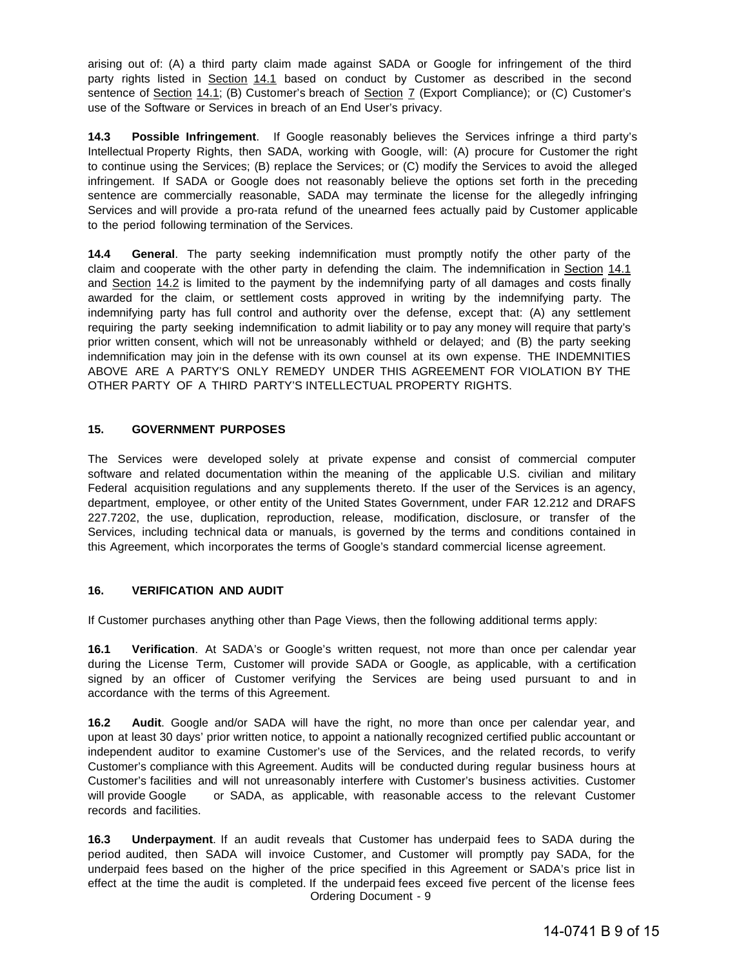arising out of: (A) a third party claim made against SADA or Google for infringement of the third party rights listed in Section 14.1 based on conduct by Customer as described in the second sentence of Section 14.1; (B) Customer's breach of Section 7 (Export Compliance); or (C) Customer's use of the Software or Services in breach of an End User's privacy.

**14.3 Possible Infringement**. If Google reasonably believes the Services infringe a third party's Intellectual Property Rights, then SADA, working with Google, will: (A) procure for Customer the right to continue using the Services; (B) replace the Services; or (C) modify the Services to avoid the alleged infringement. If SADA or Google does not reasonably believe the options set forth in the preceding sentence are commercially reasonable, SADA may terminate the license for the allegedly infringing Services and will provide a pro-rata refund of the unearned fees actually paid by Customer applicable to the period following termination of the Services.

**14.4 General**. The party seeking indemnification must promptly notify the other party of the claim and cooperate with the other party in defending the claim. The indemnification in Section 14.1 and Section 14.2 is limited to the payment by the indemnifying party of all damages and costs finally awarded for the claim, or settlement costs approved in writing by the indemnifying party. The indemnifying party has full control and authority over the defense, except that: (A) any settlement requiring the party seeking indemnification to admit liability or to pay any money will require that party's prior written consent, which will not be unreasonably withheld or delayed; and (B) the party seeking indemnification may join in the defense with its own counsel at its own expense. THE INDEMNITIES ABOVE ARE A PARTY'S ONLY REMEDY UNDER THIS AGREEMENT FOR VIOLATION BY THE OTHER PARTY OF A THIRD PARTY'S INTELLECTUAL PROPERTY RIGHTS.

#### **15. GOVERNMENT PURPOSES**

The Services were developed solely at private expense and consist of commercial computer software and related documentation within the meaning of the applicable U.S. civilian and military Federal acquisition regulations and any supplements thereto. If the user of the Services is an agency, department, employee, or other entity of the United States Government, under FAR 12.212 and DRAFS 227.7202, the use, duplication, reproduction, release, modification, disclosure, or transfer of the Services, including technical data or manuals, is governed by the terms and conditions contained in this Agreement, which incorporates the terms of Google's standard commercial license agreement.

# **16. VERIFICATION AND AUDIT**

If Customer purchases anything other than Page Views, then the following additional terms apply:

**16.1 Verification**. At SADA's or Google's written request, not more than once per calendar year during the License Term, Customer will provide SADA or Google, as applicable, with a certification signed by an officer of Customer verifying the Services are being used pursuant to and in accordance with the terms of this Agreement.

**16.2 Audit**. Google and/or SADA will have the right, no more than once per calendar year, and upon at least 30 days' prior written notice, to appoint a nationally recognized certified public accountant or independent auditor to examine Customer's use of the Services, and the related records, to verify Customer's compliance with this Agreement. Audits will be conducted during regular business hours at Customer's facilities and will not unreasonably interfere with Customer's business activities. Customer will provide Google or SADA, as applicable, with reasonable access to the relevant Customer records and facilities.

Ordering Document - 9 **16.3 Underpayment**. If an audit reveals that Customer has underpaid fees to SADA during the period audited, then SADA will invoice Customer, and Customer will promptly pay SADA, for the underpaid fees based on the higher of the price specified in this Agreement or SADA's price list in effect at the time the audit is completed. If the underpaid fees exceed five percent of the license fees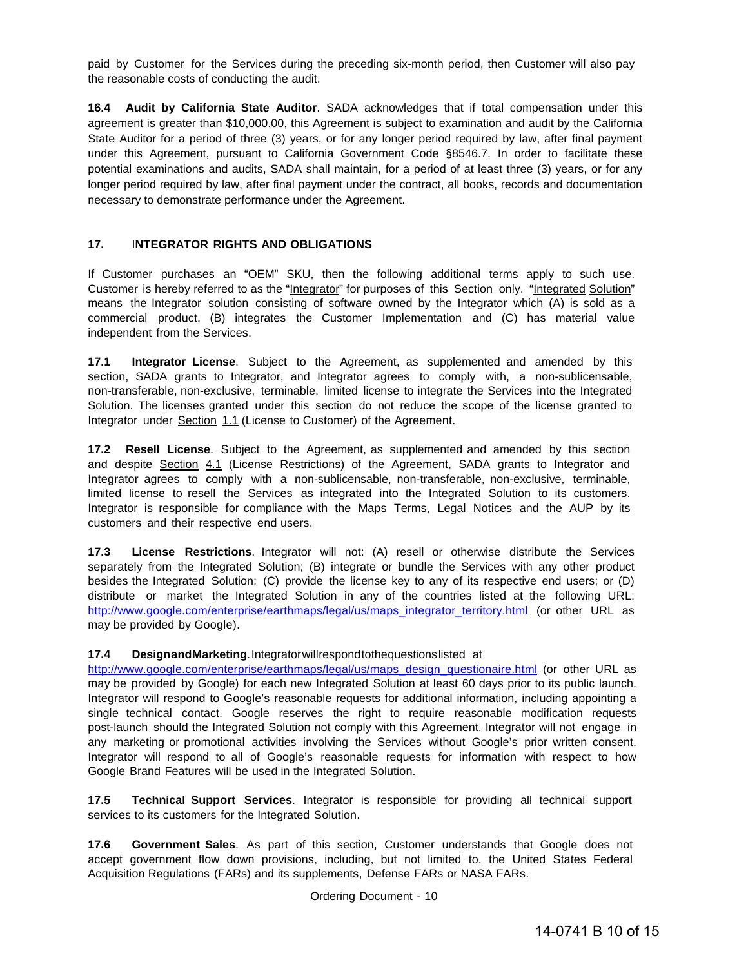paid by Customer for the Services during the preceding six-month period, then Customer will also pay the reasonable costs of conducting the audit.

**16.4 Audit by California State Auditor**. SADA acknowledges that if total compensation under this agreement is greater than \$10,000.00, this Agreement is subject to examination and audit by the California State Auditor for a period of three (3) years, or for any longer period required by law, after final payment under this Agreement, pursuant to California Government Code §8546.7. In order to facilitate these potential examinations and audits, SADA shall maintain, for a period of at least three (3) years, or for any longer period required by law, after final payment under the contract, all books, records and documentation necessary to demonstrate performance under the Agreement.

#### **17.** I**NTEGRATOR RIGHTS AND OBLIGATIONS**

If Customer purchases an "OEM" SKU, then the following additional terms apply to such use. Customer is hereby referred to as the "Integrator" for purposes of this Section only. "Integrated Solution" means the Integrator solution consisting of software owned by the Integrator which (A) is sold as a commercial product, (B) integrates the Customer Implementation and (C) has material value independent from the Services.

**17.1 Integrator License**. Subject to the Agreement, as supplemented and amended by this section, SADA grants to Integrator, and Integrator agrees to comply with, a non-sublicensable, non-transferable, non-exclusive, terminable, limited license to integrate the Services into the Integrated Solution. The licenses granted under this section do not reduce the scope of the license granted to Integrator under Section 1.1 (License to Customer) of the Agreement.

**17.2 Resell License**. Subject to the Agreement, as supplemented and amended by this section and despite Section 4.1 (License Restrictions) of the Agreement, SADA grants to Integrator and Integrator agrees to comply with a non-sublicensable, non-transferable, non-exclusive, terminable, limited license to resell the Services as integrated into the Integrated Solution to its customers. Integrator is responsible for compliance with the Maps Terms, Legal Notices and the AUP by its customers and their respective end users.

**17.3 License Restrictions**. Integrator will not: (A) resell or otherwise distribute the Services separately from the Integrated Solution; (B) integrate or bundle the Services with any other product besides the Integrated Solution; (C) provide the license key to any of its respective end users; or (D) distribute or market the Integrated Solution in any of the countries listed at the following URL: [http://www.google.com/enterprise/earthmaps/legal/us/maps\\_integrator\\_territory.html](http://www.google.com/enterprise/earthmaps/legal/us/maps_integrator_territory.html) (or other URL as may be provided by Google).

#### **17.4 DesignandMarketing**. Integratorwillrespondtothequestionslisted at

[http://www.google.com/enterprise/earthmaps/legal/us/maps\\_design\\_questionaire.html](http://www.google.com/enterprise/earthmaps/legal/us/maps_design_questionaire.html) (or other URL as may be provided by Google) for each new Integrated Solution at least 60 days prior to its public launch. Integrator will respond to Google's reasonable requests for additional information, including appointing a single technical contact. Google reserves the right to require reasonable modification requests post-launch should the Integrated Solution not comply with this Agreement. Integrator will not engage in any marketing or promotional activities involving the Services without Google's prior written consent. Integrator will respond to all of Google's reasonable requests for information with respect to how Google Brand Features will be used in the Integrated Solution.

**17.5 Technical Support Services**. Integrator is responsible for providing all technical support services to its customers for the Integrated Solution.

**17.6 Government Sales**. As part of this section, Customer understands that Google does not accept government flow down provisions, including, but not limited to, the United States Federal Acquisition Regulations (FARs) and its supplements, Defense FARs or NASA FARs.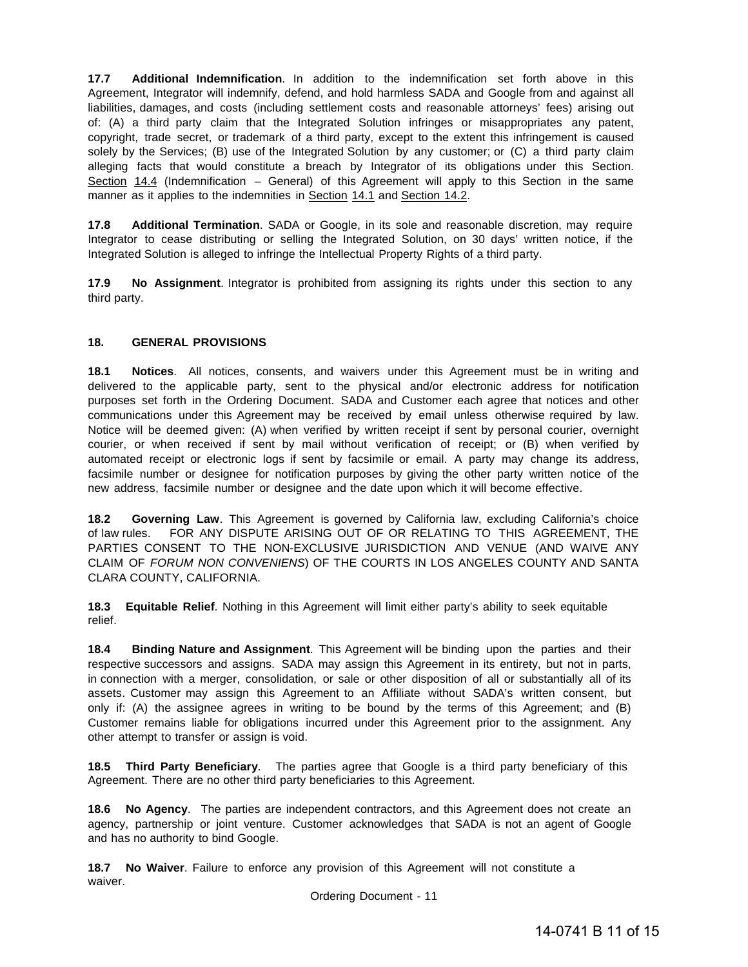**17.7 Additional Indemnification**. In addition to the indemnification set forth above in this Agreement, Integrator will indemnify, defend, and hold harmless SADA and Google from and against all liabilities, damages, and costs (including settlement costs and reasonable attorneys' fees) arising out of: (A) a third party claim that the Integrated Solution infringes or misappropriates any patent, copyright, trade secret, or trademark of a third party, except to the extent this infringement is caused solely by the Services; (B) use of the Integrated Solution by any customer; or (C) a third party claim alleging facts that would constitute a breach by Integrator of its obligations under this Section. Section 14.4 (Indemnification – General) of this Agreement will apply to this Section in the same manner as it applies to the indemnities in Section 14.1 and Section 14.2.

**17.8 Additional Termination**. SADA or Google, in its sole and reasonable discretion, may require Integrator to cease distributing or selling the Integrated Solution, on 30 days' written notice, if the Integrated Solution is alleged to infringe the Intellectual Property Rights of a third party.

**17.9 No Assignment**. Integrator is prohibited from assigning its rights under this section to any third party.

#### **18. GENERAL PROVISIONS**

**18.1 Notices**. All notices, consents, and waivers under this Agreement must be in writing and delivered to the applicable party, sent to the physical and/or electronic address for notification purposes set forth in the Ordering Document. SADA and Customer each agree that notices and other communications under this Agreement may be received by email unless otherwise required by law. Notice will be deemed given: (A) when verified by written receipt if sent by personal courier, overnight courier, or when received if sent by mail without verification of receipt; or (B) when verified by automated receipt or electronic logs if sent by facsimile or email. A party may change its address, facsimile number or designee for notification purposes by giving the other party written notice of the new address, facsimile number or designee and the date upon which it will become effective.

**18.2 Governing Law**. This Agreement is governed by California law, excluding California's choice of law rules. FOR ANY DISPUTE ARISING OUT OF OR RELATING TO THIS AGREEMENT, THE PARTIES CONSENT TO THE NON-EXCLUSIVE JURISDICTION AND VENUE (AND WAIVE ANY CLAIM OF *FORUM NON CONVENIENS*) OF THE COURTS IN LOS ANGELES COUNTY AND SANTA CLARA COUNTY, CALIFORNIA.

**18.3 Equitable Relief**. Nothing in this Agreement will limit either party's ability to seek equitable relief.

**18.4 Binding Nature and Assignment**. This Agreement will be binding upon the parties and their respective successors and assigns. SADA may assign this Agreement in its entirety, but not in parts, in connection with a merger, consolidation, or sale or other disposition of all or substantially all of its assets. Customer may assign this Agreement to an Affiliate without SADA's written consent, but only if: (A) the assignee agrees in writing to be bound by the terms of this Agreement; and (B) Customer remains liable for obligations incurred under this Agreement prior to the assignment. Any other attempt to transfer or assign is void.

**18.5 Third Party Beneficiary**. The parties agree that Google is a third party beneficiary of this Agreement. There are no other third party beneficiaries to this Agreement.

**18.6 No Agency**. The parties are independent contractors, and this Agreement does not create an agency, partnership or joint venture. Customer acknowledges that SADA is not an agent of Google and has no authority to bind Google.

**18.7 No Waiver**. Failure to enforce any provision of this Agreement will not constitute a waiver.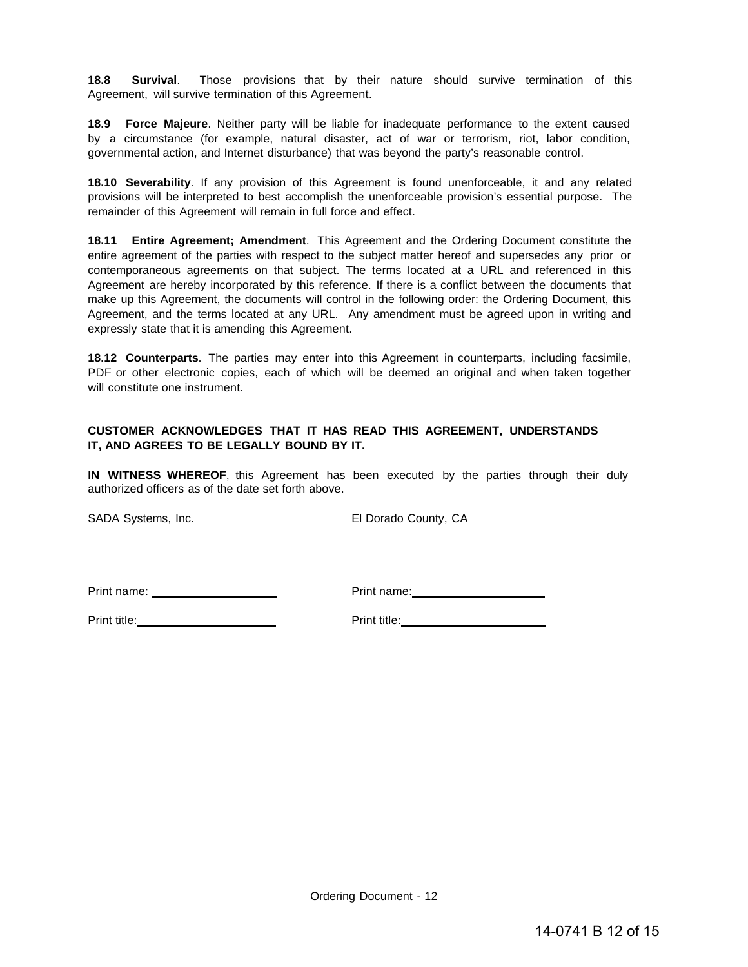**18.8 Survival**. Those provisions that by their nature should survive termination of this Agreement, will survive termination of this Agreement.

**18.9 Force Majeure**. Neither party will be liable for inadequate performance to the extent caused by a circumstance (for example, natural disaster, act of war or terrorism, riot, labor condition, governmental action, and Internet disturbance) that was beyond the party's reasonable control.

**18.10 Severability**. If any provision of this Agreement is found unenforceable, it and any related provisions will be interpreted to best accomplish the unenforceable provision's essential purpose. The remainder of this Agreement will remain in full force and effect.

**18.11 Entire Agreement; Amendment**. This Agreement and the Ordering Document constitute the entire agreement of the parties with respect to the subject matter hereof and supersedes any prior or contemporaneous agreements on that subject. The terms located at a URL and referenced in this Agreement are hereby incorporated by this reference. If there is a conflict between the documents that make up this Agreement, the documents will control in the following order: the Ordering Document, this Agreement, and the terms located at any URL. Any amendment must be agreed upon in writing and expressly state that it is amending this Agreement.

**18.12 Counterparts**. The parties may enter into this Agreement in counterparts, including facsimile, PDF or other electronic copies, each of which will be deemed an original and when taken together will constitute one instrument.

#### **CUSTOMER ACKNOWLEDGES THAT IT HAS READ THIS AGREEMENT, UNDERSTANDS IT, AND AGREES TO BE LEGALLY BOUND BY IT.**

**IN WITNESS WHEREOF**, this Agreement has been executed by the parties through their duly authorized officers as of the date set forth above.

SADA Systems, Inc. **El Dorado County**, CA

Print name: <u>example and the set of the set of the Print name:</u> example and the set of the set of the set of the set of the set of the set of the set of the set of the set of the set of the set of the set of the set of the

Print title: Print title: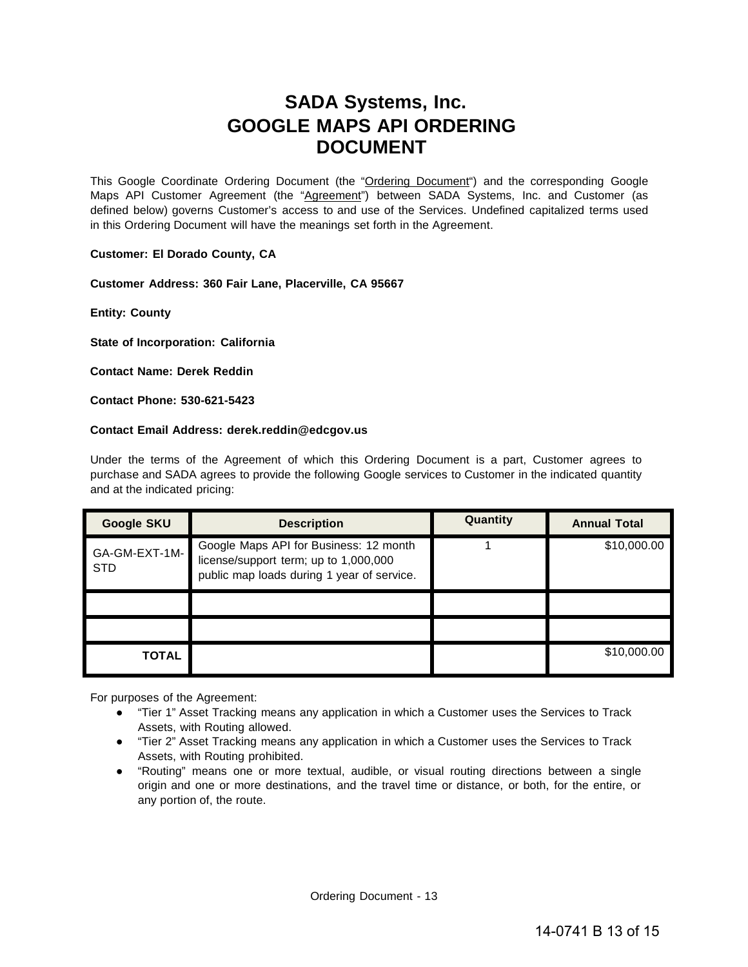# **SADA Systems, Inc. GOOGLE MAPS API ORDERING DOCUMENT**

This Google Coordinate Ordering Document (the "Ordering Document") and the corresponding Google Maps API Customer Agreement (the "Agreement") between SADA Systems, Inc. and Customer (as defined below) governs Customer's access to and use of the Services. Undefined capitalized terms used in this Ordering Document will have the meanings set forth in the Agreement.

#### **Customer: El Dorado County, CA**

**Customer Address: 360 Fair Lane, Placerville, CA 95667**

**Entity: County**

**State of Incorporation: California** 

**Contact Name: Derek Reddin** 

**Contact Phone: 530-621-5423**

#### **Contact Email Address: [derek.reddin@edcgov.us](mailto:derek.reddin@edcgov.us)**

Under the terms of the Agreement of which this Ordering Document is a part, Customer agrees to purchase and SADA agrees to provide the following Google services to Customer in the indicated quantity and at the indicated pricing:

| <b>Google SKU</b>           | <b>Description</b>                                                                                                            | Quantity | <b>Annual Total</b> |
|-----------------------------|-------------------------------------------------------------------------------------------------------------------------------|----------|---------------------|
| GA-GM-EXT-1M-<br><b>STD</b> | Google Maps API for Business: 12 month<br>license/support term; up to 1,000,000<br>public map loads during 1 year of service. |          | \$10,000.00         |
|                             |                                                                                                                               |          |                     |
|                             |                                                                                                                               |          |                     |
| <b>TOTAL</b>                |                                                                                                                               |          | \$10,000.00         |

For purposes of the Agreement:

- "Tier 1" Asset Tracking means any application in which a Customer uses the Services to Track Assets, with Routing allowed.
- "Tier 2" Asset Tracking means any application in which a Customer uses the Services to Track Assets, with Routing prohibited.
- "Routing" means one or more textual, audible, or visual routing directions between a single origin and one or more destinations, and the travel time or distance, or both, for the entire, or any portion of, the route.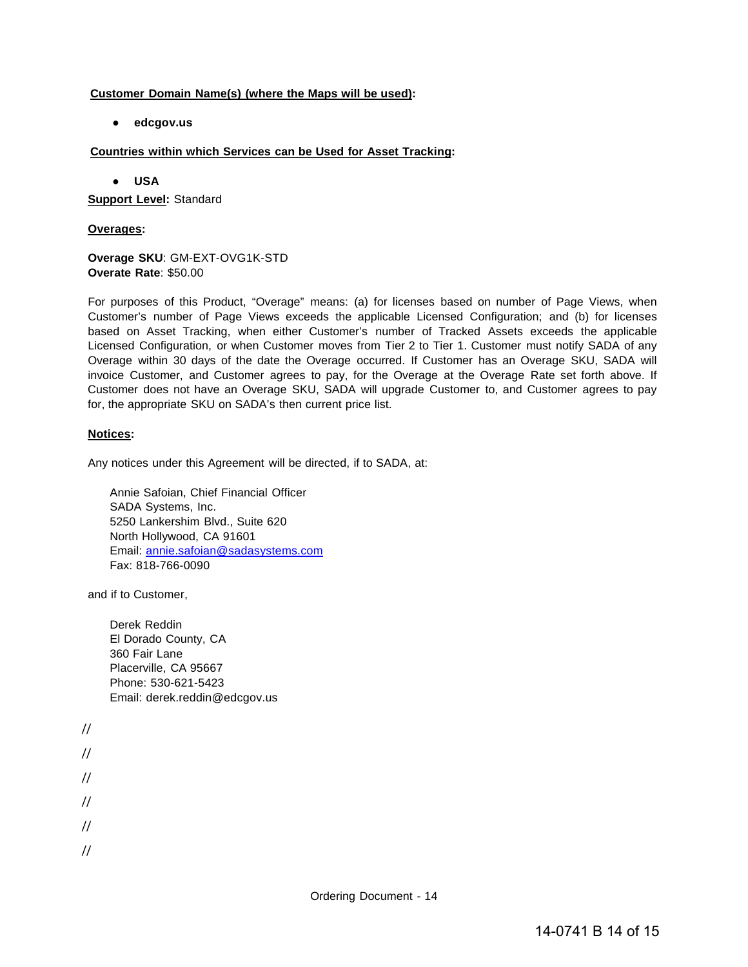## **Customer Domain Name(s) (where the Maps will be used):**

**● edcgov.us**

## **Countries within which Services can be Used for Asset Tracking:**

**● USA**

**Support Level:** Standard

#### **Overages:**

**Overage SKU**: GM-EXT-OVG1K-STD **Overate Rate**: \$50.00

For purposes of this Product, "Overage" means: (a) for licenses based on number of Page Views, when Customer's number of Page Views exceeds the applicable Licensed Configuration; and (b) for licenses based on Asset Tracking, when either Customer's number of Tracked Assets exceeds the applicable Licensed Configuration, or when Customer moves from Tier 2 to Tier 1. Customer must notify SADA of any Overage within 30 days of the date the Overage occurred. If Customer has an Overage SKU, SADA will invoice Customer, and Customer agrees to pay, for the Overage at the Overage Rate set forth above. If Customer does not have an Overage SKU, SADA will upgrade Customer to, and Customer agrees to pay for, the appropriate SKU on SADA's then current price list.

# **Notices:**

Any notices under this Agreement will be directed, if to SADA, at:

Annie Safoian, Chief Financial Officer SADA Systems, Inc. 5250 Lankershim Blvd., Suite 620 North Hollywood, CA 91601 Email: [annie.safoian@sadasystems.com](mailto:annie.safoian@sadasystems.com) Fax: 818-766-0090

and if to Customer,

Derek Reddin El Dorado County, CA 360 Fair Lane Placerville, CA 95667 Phone: 530-621-5423 Email: [derek.reddin@edcgov.us](mailto:derek.reddin@edcgov.us)

// // // // // //